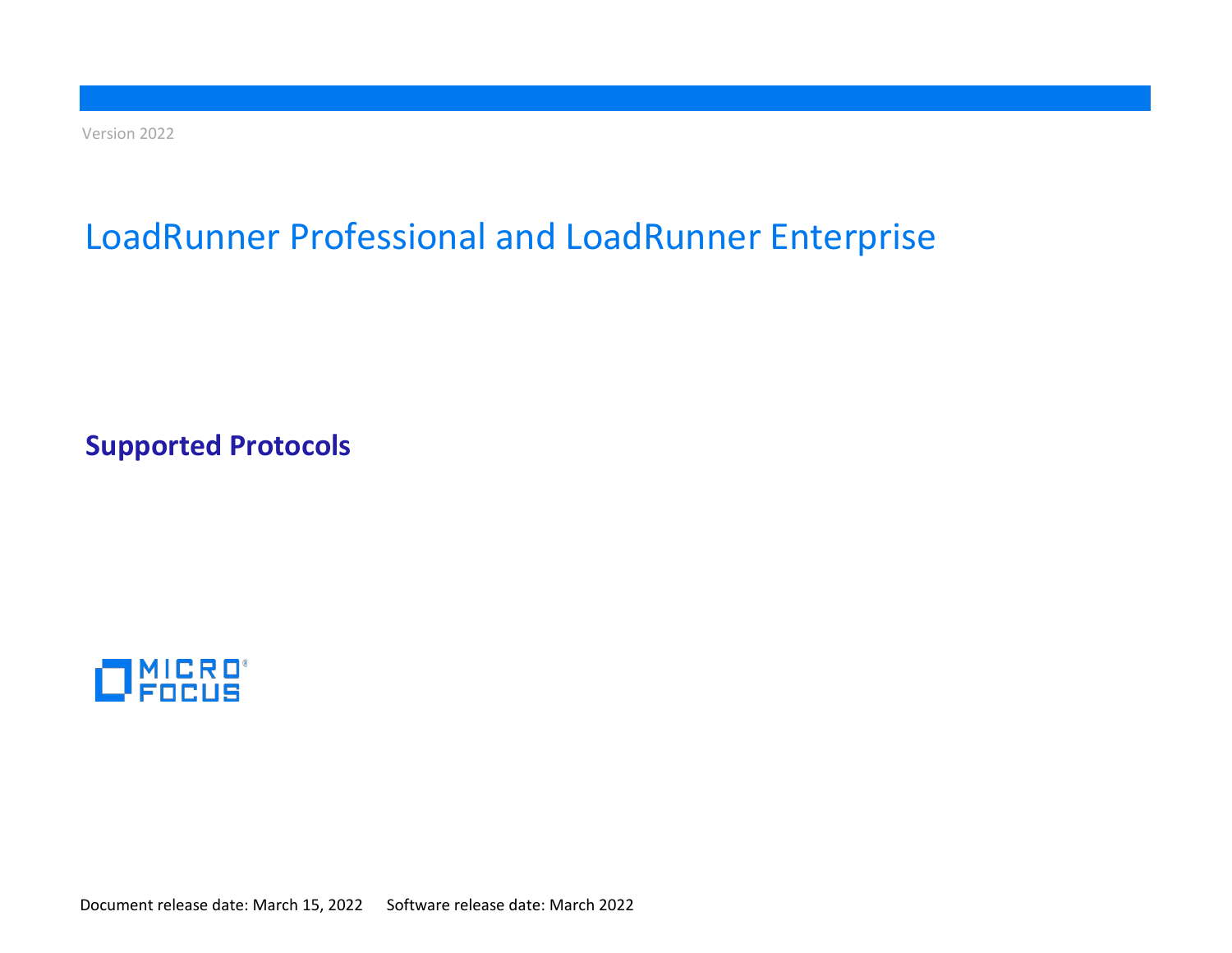Version 2022

# LoadRunner Professional and LoadRunner Enterprise

**Supported Protocols**



Document release date: March 15, 2022 Software release date: March 2022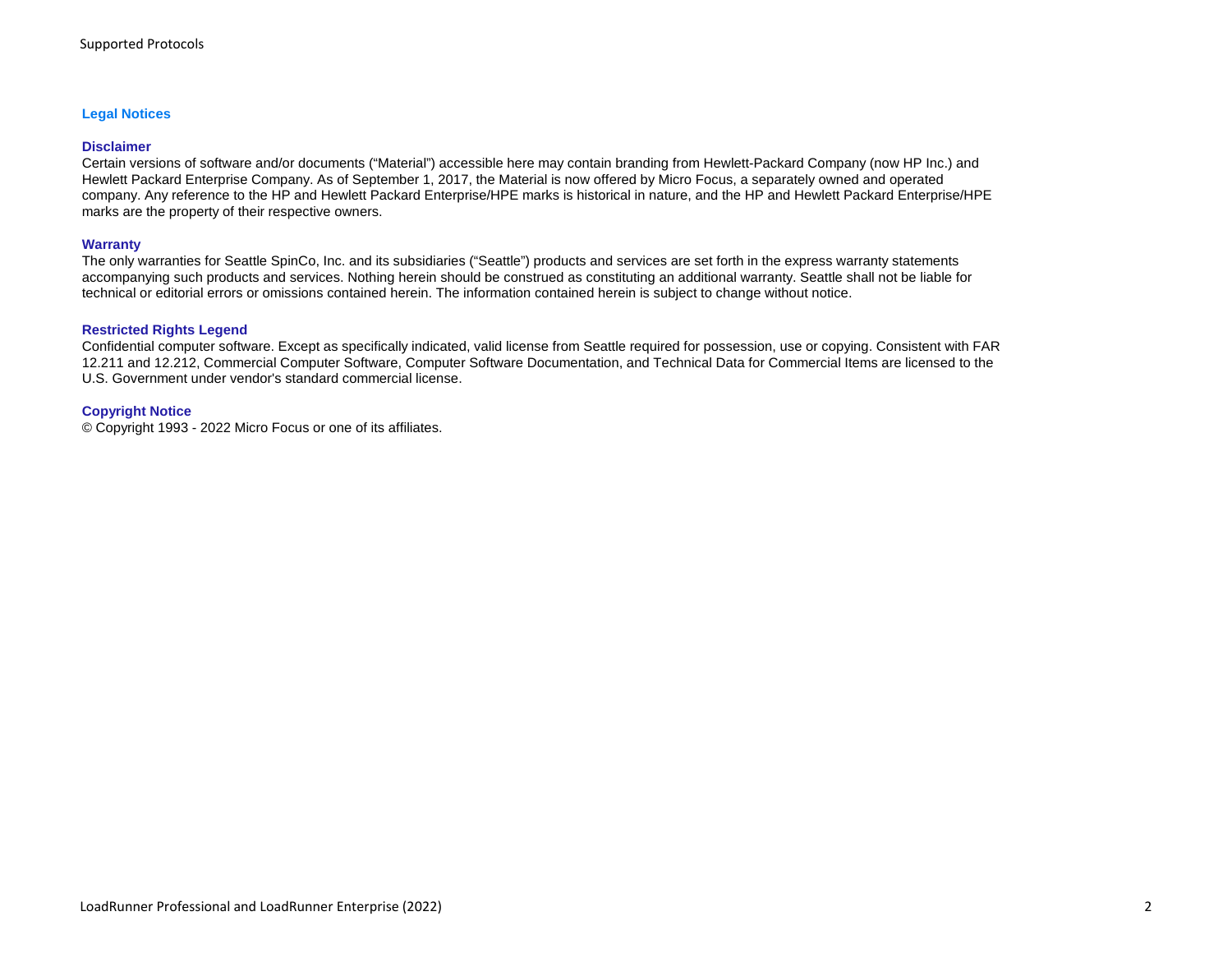#### **Legal Notices**

#### **Disclaimer**

Certain versions of software and/or documents ("Material") accessible here may contain branding from Hewlett-Packard Company (now HP Inc.) and Hewlett Packard Enterprise Company. As of September 1, 2017, the Material is now offered by Micro Focus, a separately owned and operated company. Any reference to the HP and Hewlett Packard Enterprise/HPE marks is historical in nature, and the HP and Hewlett Packard Enterprise/HPE marks are the property of their respective owners.

#### **Warranty**

The only warranties for Seattle SpinCo, Inc. and its subsidiaries ("Seattle") products and services are set forth in the express warranty statements accompanying such products and services. Nothing herein should be construed as constituting an additional warranty. Seattle shall not be liable for technical or editorial errors or omissions contained herein. The information contained herein is subject to change without notice.

#### **Restricted Rights Legend**

Confidential computer software. Except as specifically indicated, valid license from Seattle required for possession, use or copying. Consistent with FAR 12.211 and 12.212, Commercial Computer Software, Computer Software Documentation, and Technical Data for Commercial Items are licensed to the U.S. Government under vendor's standard commercial license.

#### **Copyright Notice**

© Copyright 1993 - 2022 Micro Focus or one of its affiliates.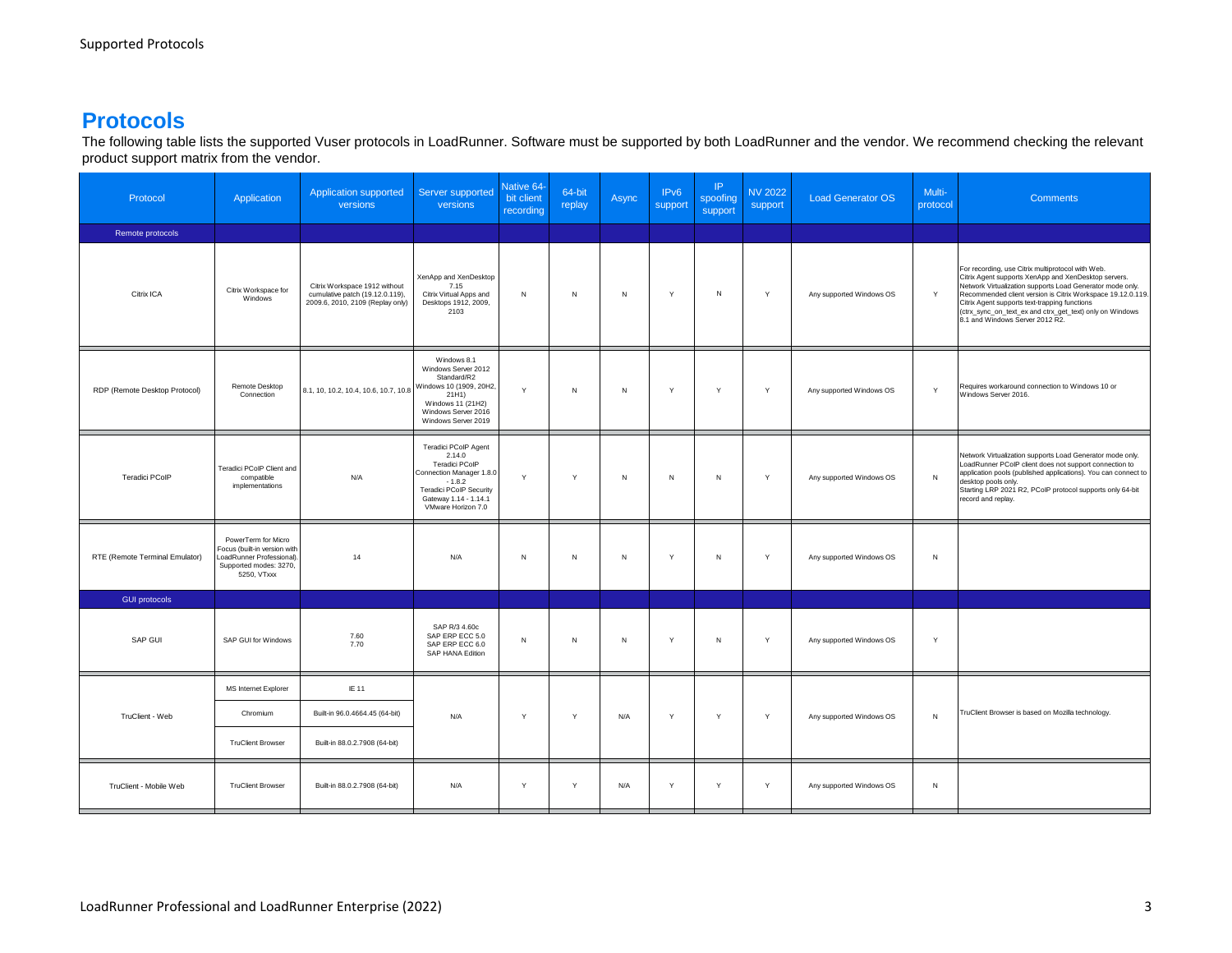## **Protocols**

The following table lists the supported Vuser protocols in LoadRunner. Software must be supported by both LoadRunner and the vendor. We recommend checking the relevant product support matrix from the vendor.

| Protocol                       | Application                                                                                                               | <b>Application supported</b><br>versions                                                             | Server supported<br>versions                                                                                                                                                     | <b>Native 64-</b><br>bit client<br>recording | 64-bit<br>replay | Async        | IP <sub>v6</sub><br>support | IP.<br>spoofing<br>support | <b>NV 2022</b><br>support | <b>Load Generator OS</b> | Multi-<br>protocol | <b>Comments</b>                                                                                                                                                                                                                                                                                                                                                                       |
|--------------------------------|---------------------------------------------------------------------------------------------------------------------------|------------------------------------------------------------------------------------------------------|----------------------------------------------------------------------------------------------------------------------------------------------------------------------------------|----------------------------------------------|------------------|--------------|-----------------------------|----------------------------|---------------------------|--------------------------|--------------------|---------------------------------------------------------------------------------------------------------------------------------------------------------------------------------------------------------------------------------------------------------------------------------------------------------------------------------------------------------------------------------------|
| Remote protocols               |                                                                                                                           |                                                                                                      |                                                                                                                                                                                  |                                              |                  |              |                             |                            |                           |                          |                    |                                                                                                                                                                                                                                                                                                                                                                                       |
| Citrix ICA                     | Citrix Workspace for<br>Windows                                                                                           | Citrix Workspace 1912 without<br>cumulative patch (19.12.0.119),<br>2009.6, 2010, 2109 (Replay only) | XenApp and XenDesktop<br>7.15<br>Citrix Virtual Apps and<br>Desktops 1912, 2009,<br>2103                                                                                         | N                                            | $\,$ N           | N            | Y                           | N                          | Y                         | Any supported Windows OS | Y                  | For recording, use Citrix multiprotocol with Web.<br>Citrix Agent supports XenApp and XenDesktop servers.<br>Network Virtualization supports Load Generator mode only.<br>Recommended client version is Citrix Workspace 19.12.0.119.<br>Citrix Agent supports text-trapping functions<br>(ctrx_sync_on_text_ex and ctrx_get_text) only on Windows<br>8.1 and Windows Server 2012 R2. |
| RDP (Remote Desktop Protocol)  | Remote Desktop<br>Connection                                                                                              | 8.1, 10, 10.2, 10.4, 10.6, 10.7, 10.8 Windows 10 (1909, 20H2,                                        | Windows 8.1<br>Windows Server 2012<br>Standard/R2<br>Windows 11 (21H2)<br>Windows Server 2016<br>Windows Server 2019                                                             | Y                                            | $\overline{N}$   | $\,N\,$      | $\mathsf{Y}$                | Y                          | Y                         | Any supported Windows OS | $\mathsf{v}$       | Requires workaround connection to Windows 10 or<br>Windows Server 2016.                                                                                                                                                                                                                                                                                                               |
| Teradici PCoIP                 | Teradici PCoIP Client and<br>compatible<br>implementations                                                                | N/A                                                                                                  | <b>Teradici PCoIP Agent</b><br>2.14.0<br>Teradici PCoIP<br>Connection Manager 1.8.0<br>$-1.8.2$<br><b>Teradici PCoIP Security</b><br>Gateway 1.14 - 1.14.1<br>VMware Horizon 7.0 | Y                                            | Y                | $\mathsf{N}$ | N                           | N                          | Y                         | Any supported Windows OS | N                  | Network Virtualization supports Load Generator mode only.<br>LoadRunner PCoIP client does not support connection to<br>application pools (published applications). You can connect to<br>desktop pools only.<br>Starting LRP 2021 R2, PCoIP protocol supports only 64-bit<br>record and replay.                                                                                       |
| RTE (Remote Terminal Emulator) | PowerTerm for Micro<br>Focus (built-in version with<br>LoadRunner Professional).<br>Supported modes: 3270,<br>5250, VTxxx | 14                                                                                                   | N/A                                                                                                                                                                              | ${\sf N}$                                    | ${\sf N}$        | $\,N\,$      | Y                           | N                          | Y                         | Any supported Windows OS | N                  |                                                                                                                                                                                                                                                                                                                                                                                       |
| <b>GUI protocols</b>           |                                                                                                                           |                                                                                                      |                                                                                                                                                                                  |                                              |                  |              |                             |                            |                           |                          |                    |                                                                                                                                                                                                                                                                                                                                                                                       |
| SAP GUI                        | SAP GUI for Windows                                                                                                       | 7.60<br>7.70                                                                                         | SAP R/3 4.60c<br>SAP ERP ECC 5.0<br>SAP ERP ECC 6.0<br>SAP HANA Edition                                                                                                          | $\,N\,$                                      | $\,$ N           | N            | Y                           | N                          | Y                         | Any supported Windows OS | Y                  |                                                                                                                                                                                                                                                                                                                                                                                       |
|                                | MS Internet Explorer                                                                                                      | IE 11                                                                                                |                                                                                                                                                                                  |                                              |                  |              |                             |                            |                           |                          |                    |                                                                                                                                                                                                                                                                                                                                                                                       |
| TruClient - Web                | Chromium                                                                                                                  | Built-in 96.0.4664.45 (64-bit)                                                                       | N/A                                                                                                                                                                              | Y                                            | Y                | N/A          | Y                           | Y                          | Y                         | Any supported Windows OS | N                  | TruClient Browser is based on Mozilla technology.                                                                                                                                                                                                                                                                                                                                     |
|                                | <b>TruClient Browser</b>                                                                                                  | Built-in 88.0.2.7908 (64-bit)                                                                        |                                                                                                                                                                                  |                                              |                  |              |                             |                            |                           |                          |                    |                                                                                                                                                                                                                                                                                                                                                                                       |
| TruClient - Mobile Web         | <b>TruClient Browser</b>                                                                                                  | Built-in 88.0.2.7908 (64-bit)                                                                        | N/A                                                                                                                                                                              | Y                                            | Y                | N/A          | Y                           | Y                          | Y                         | Any supported Windows OS | N                  |                                                                                                                                                                                                                                                                                                                                                                                       |
|                                |                                                                                                                           |                                                                                                      |                                                                                                                                                                                  |                                              |                  |              |                             |                            |                           |                          |                    |                                                                                                                                                                                                                                                                                                                                                                                       |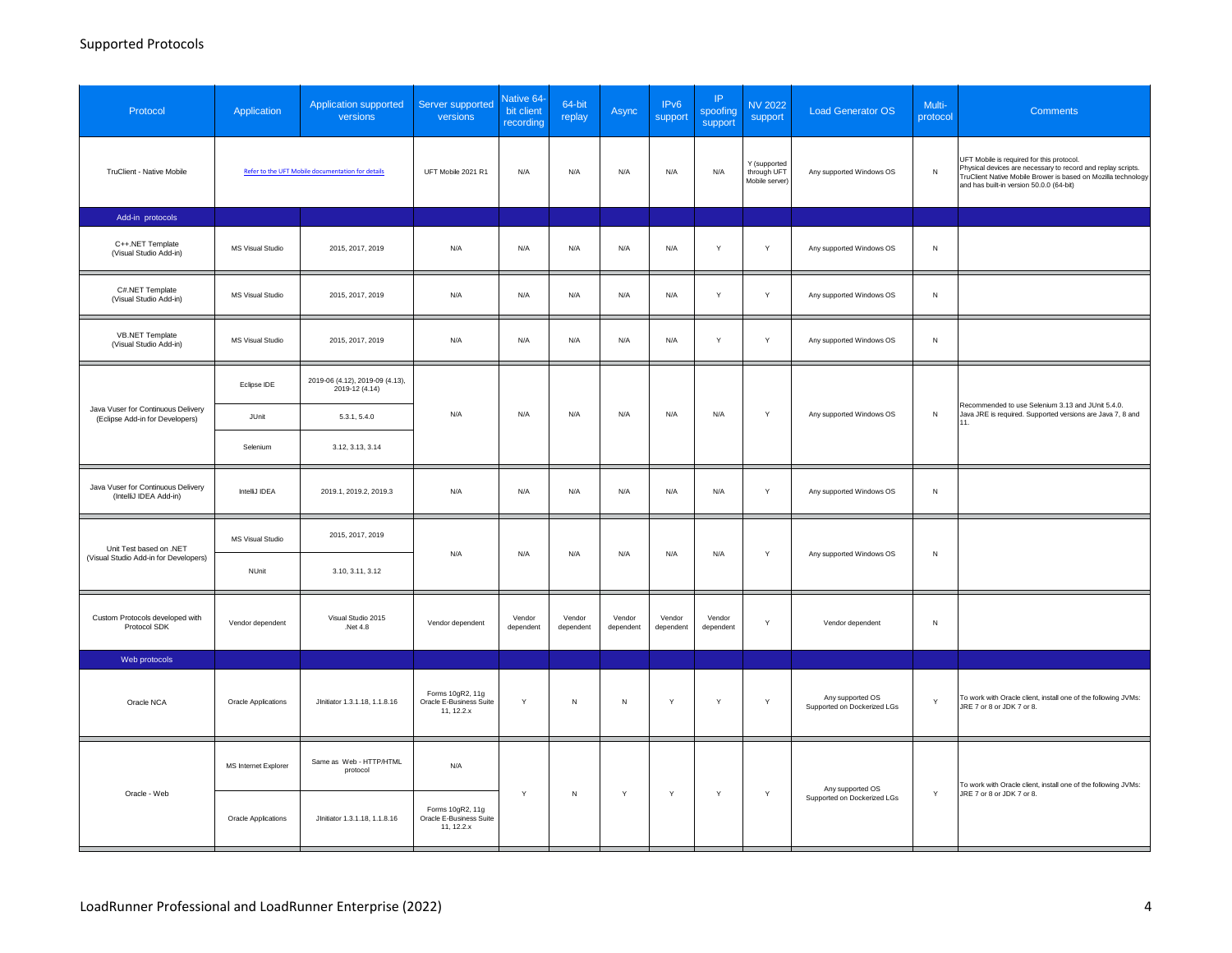### Supported Protocols

| Protocol                                                              | Application                | Application supported<br>versions                 | Server supported<br>versions                              | Native 64-<br>bit client<br>recording | 64-bit<br>replay    | Async               | IP <sub>v6</sub><br>support | IP<br>spoofing<br>support | <b>NV 2022</b><br>support                     | <b>Load Generator OS</b>                        | Multi-<br>protocol | <b>Comments</b>                                                                                                                                                                                                        |
|-----------------------------------------------------------------------|----------------------------|---------------------------------------------------|-----------------------------------------------------------|---------------------------------------|---------------------|---------------------|-----------------------------|---------------------------|-----------------------------------------------|-------------------------------------------------|--------------------|------------------------------------------------------------------------------------------------------------------------------------------------------------------------------------------------------------------------|
| TruClient - Native Mobile                                             |                            | Refer to the UFT Mobile documentation for details | UFT Mobile 2021 R1                                        | N/A                                   | N/A                 | N/A                 | N/A                         | N/A                       | Y (supported<br>through UFT<br>Mobile server) | Any supported Windows OS                        | ${\sf N}$          | UFT Mobile is required for this protocol.<br>Physical devices are necessary to record and replay scripts.<br>TruClient Native Mobile Brower is based on Mozilla technology<br>and has built-in version 50.0.0 (64-bit) |
| Add-in protocols                                                      |                            |                                                   |                                                           |                                       |                     |                     |                             |                           |                                               |                                                 |                    |                                                                                                                                                                                                                        |
| C++.NET Template<br>(Visual Studio Add-in)                            | <b>MS Visual Studio</b>    | 2015, 2017, 2019                                  | N/A                                                       | N/A                                   | N/A                 | N/A                 | N/A                         | Y                         | Y                                             | Any supported Windows OS                        | N                  |                                                                                                                                                                                                                        |
| C#.NET Template<br>(Visual Studio Add-in)                             | <b>MS Visual Studio</b>    | 2015, 2017, 2019                                  | N/A                                                       | N/A                                   | N/A                 | N/A                 | N/A                         | $\mathsf{Y}$              | Y                                             | Any supported Windows OS                        | ${\sf N}$          |                                                                                                                                                                                                                        |
| VB.NET Template<br>(Visual Studio Add-in)                             | MS Visual Studio           | 2015, 2017, 2019                                  | N/A                                                       | N/A                                   | N/A                 | N/A                 | N/A                         | Y                         | Y                                             | Any supported Windows OS                        | N                  |                                                                                                                                                                                                                        |
|                                                                       | Eclipse IDE                | 2019-06 (4.12), 2019-09 (4.13),<br>2019-12 (4.14) | N/A                                                       |                                       | N/A                 |                     |                             |                           | Y                                             | Any supported Windows OS                        |                    | Recommended to use Selenium 3.13 and JUnit 5.4.0.                                                                                                                                                                      |
| Java Vuser for Continuous Delivery<br>(Eclipse Add-in for Developers) | JUnit                      | 5.3.1, 5.4.0                                      |                                                           | N/A                                   |                     | N/A                 | N/A                         | N/A                       |                                               |                                                 | ${\sf N}$          | Java JRE is required. Supported versions are Java 7, 8 and<br>11.                                                                                                                                                      |
|                                                                       | Selenium                   | 3.12, 3.13, 3.14                                  |                                                           |                                       |                     |                     |                             |                           |                                               |                                                 |                    |                                                                                                                                                                                                                        |
| Java Vuser for Continuous Delivery<br>(IntelliJ IDEA Add-in)          | IntelliJ IDEA              | 2019.1, 2019.2, 2019.3                            | N/A                                                       | N/A                                   | N/A                 | N/A                 | N/A                         | N/A                       | Y                                             | Any supported Windows OS                        | N                  |                                                                                                                                                                                                                        |
| Unit Test based on .NET                                               | MS Visual Studio           | 2015, 2017, 2019                                  | N/A                                                       | N/A                                   | N/A                 | N/A                 | N/A                         | N/A                       | Y                                             | Any supported Windows OS                        | N                  |                                                                                                                                                                                                                        |
| (Visual Studio Add-in for Developers)                                 | NUnit                      | 3.10, 3.11, 3.12                                  |                                                           |                                       |                     |                     |                             |                           |                                               |                                                 |                    |                                                                                                                                                                                                                        |
| Custom Protocols developed with<br>Protocol SDK                       | Vendor dependent           | Visual Studio 2015<br>.Net 4.8                    | Vendor dependent                                          | Vendor<br>dependent                   | Vendor<br>dependent | Vendor<br>dependent | Vendor<br>dependent         | Vendor<br>dependent       | Y                                             | Vendor dependent                                | N                  |                                                                                                                                                                                                                        |
| Web protocols                                                         |                            |                                                   |                                                           |                                       |                     |                     |                             |                           |                                               |                                                 |                    |                                                                                                                                                                                                                        |
| Oracle NCA                                                            | <b>Oracle Applications</b> | JInitiator 1.3.1.18, 1.1.8.16                     | Forms 10gR2, 11g<br>Oracle E-Business Suite<br>11, 12.2.x | $\mathsf{Y}$                          | ${\sf N}$           | ${\sf N}$           | Y                           | Y                         | $\mathsf Y$                                   | Any supported OS<br>Supported on Dockerized LGs | Y                  | To work with Oracle client, install one of the following JVMs:<br>JRE 7 or 8 or JDK 7 or 8.                                                                                                                            |
|                                                                       | MS Internet Explorer       | Same as Web - HTTP/HTML<br>protocol               | N/A                                                       |                                       |                     |                     |                             |                           |                                               |                                                 |                    | To work with Oracle client, install one of the following JVMs:                                                                                                                                                         |
| Oracle - Web                                                          | <b>Oracle Applications</b> | JInitiator 1.3.1.18, 1.1.8.16                     | Forms 10gR2, 11g<br>Oracle E-Business Suite<br>11, 12.2.x | Y                                     | ${\sf N}$           | Y                   | $\mathsf Y$                 | $\mathsf Y$               | Y                                             | Any supported OS<br>Supported on Dockerized LGs | Y                  | JRE 7 or 8 or JDK 7 or 8.                                                                                                                                                                                              |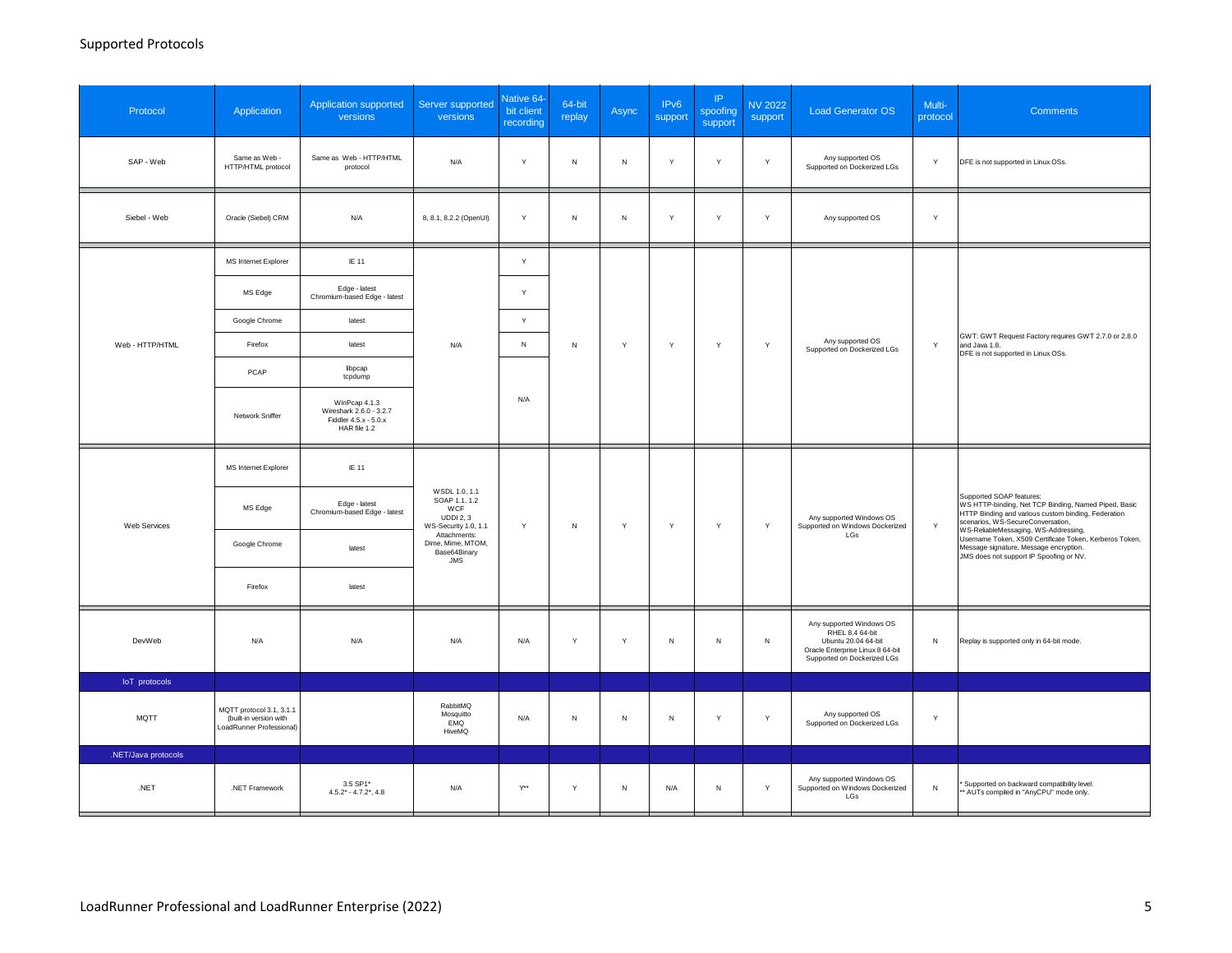| Protocol            | Application                                                                    | Application supported<br>versions                                                 | Server supported<br>versions                                                                                                                        | Native 64-<br>bit client<br>recording | 64-bit<br>replay | Async        | IP <sub>v6</sub><br>support | P <br>spoofing<br>support | <b>NV 2022</b><br>support                       | <b>Load Generator OS</b>                                                                                                              | Multi-<br>protocol                                                                                          | <b>Comments</b>                                                                                                                                                                      |
|---------------------|--------------------------------------------------------------------------------|-----------------------------------------------------------------------------------|-----------------------------------------------------------------------------------------------------------------------------------------------------|---------------------------------------|------------------|--------------|-----------------------------|---------------------------|-------------------------------------------------|---------------------------------------------------------------------------------------------------------------------------------------|-------------------------------------------------------------------------------------------------------------|--------------------------------------------------------------------------------------------------------------------------------------------------------------------------------------|
| SAP - Web           | Same as Web -<br>HTTP/HTML protocol                                            | Same as Web - HTTP/HTML<br>protocol                                               | N/A                                                                                                                                                 | Y                                     | ${\sf N}$        | ${\sf N}$    | Y                           | Y                         | Y                                               | Any supported OS<br>Supported on Dockerized LGs                                                                                       | Y                                                                                                           | DFE is not supported in Linux OSs.                                                                                                                                                   |
| Siebel - Web        | Oracle (Siebel) CRM                                                            | N/A                                                                               | 8, 8.1, 8.2.2 (OpenUI)                                                                                                                              | Y                                     | $\mathsf N$      | $\mathsf{N}$ | Y                           | Y                         | Y                                               | Any supported OS                                                                                                                      | Y                                                                                                           |                                                                                                                                                                                      |
|                     | MS Internet Explorer                                                           | IE 11                                                                             |                                                                                                                                                     | Y                                     |                  |              | $\mathsf{Y}$<br>Υ           |                           |                                                 |                                                                                                                                       |                                                                                                             |                                                                                                                                                                                      |
|                     | MS Edge                                                                        | Edge - latest<br>Chromium-based Edge - latest                                     |                                                                                                                                                     | Y                                     | ${\sf N}$        |              |                             |                           |                                                 |                                                                                                                                       |                                                                                                             |                                                                                                                                                                                      |
|                     | Google Chrome                                                                  | latest                                                                            |                                                                                                                                                     | Y                                     |                  |              |                             |                           |                                                 |                                                                                                                                       |                                                                                                             |                                                                                                                                                                                      |
| Web - HTTP/HTML     | Firefox                                                                        | latest                                                                            | N/A                                                                                                                                                 | ${\sf N}$                             |                  | Y            |                             | $\mathsf{Y}$              | Any supported OS<br>Supported on Dockerized LGs | $\mathsf{Y}$                                                                                                                          | GWT: GWT Request Factory requires GWT 2.7.0 or 2.8.0<br>and Java 1.8.<br>DFE is not supported in Linux OSs. |                                                                                                                                                                                      |
|                     | PCAP                                                                           | libpcap<br>tcpdump                                                                |                                                                                                                                                     |                                       |                  |              |                             |                           |                                                 |                                                                                                                                       |                                                                                                             |                                                                                                                                                                                      |
|                     | Network Sniffer                                                                | WinPcap 4.1.3<br>Wireshark 2.6.0 - 3.2.7<br>Fiddler 4.5.x - 5.0.x<br>HAR file 1.2 |                                                                                                                                                     | N/A                                   |                  |              |                             |                           |                                                 |                                                                                                                                       |                                                                                                             |                                                                                                                                                                                      |
|                     | MS Internet Explorer                                                           | IE 11                                                                             | WSDL 1.0, 1.1<br>SOAP 1.1, 1.2<br>WCF<br><b>UDDI 2, 3</b><br>WS-Security 1.0, 1.1<br>Attachments:<br>Dime, Mime, MTOM,<br>Base64Binary<br>$\sf JMS$ |                                       |                  |              | Y                           | Y                         | Y                                               | Any supported Windows OS<br>Supported on Windows Dockerized<br>LGs                                                                    |                                                                                                             |                                                                                                                                                                                      |
| Web Services        | MS Edge                                                                        | Edge - latest<br>Chromium-based Edge - latest                                     |                                                                                                                                                     | Y                                     | ${\sf N}$        | $\mathsf Y$  |                             |                           |                                                 |                                                                                                                                       | $\mathsf{Y}$                                                                                                | Supported SOAP features:<br>WS HTTP-binding, Net TCP Binding, Named Piped, Basic<br>HTTP Binding and various custom binding, Federation<br>scenarios, WS-SecureConversation,         |
|                     | Google Chrome                                                                  | latest                                                                            |                                                                                                                                                     |                                       |                  |              |                             |                           |                                                 |                                                                                                                                       |                                                                                                             | WS-ReliableMessaging, WS-Addressing,<br>Username Token, X509 Certificate Token, Kerberos Token,<br>Message signature, Message encryption.<br>JMS does not support IP Spoofing or NV. |
|                     | Firefox                                                                        | latest                                                                            |                                                                                                                                                     |                                       |                  |              |                             |                           |                                                 |                                                                                                                                       |                                                                                                             |                                                                                                                                                                                      |
| DevWeb              | N/A                                                                            | N/A                                                                               | N/A                                                                                                                                                 | N/A                                   | Y                | Y            | N                           | N                         | N                                               | Any supported Windows OS<br>RHEL 8.4 64-bit<br>Ubuntu 20.04 64-bit<br>Oracle Enterprise Linux 8 64-bit<br>Supported on Dockerized LGs | N                                                                                                           | Replay is supported only in 64-bit mode.                                                                                                                                             |
| loT protocols       |                                                                                |                                                                                   |                                                                                                                                                     |                                       |                  |              |                             |                           |                                                 |                                                                                                                                       |                                                                                                             |                                                                                                                                                                                      |
| <b>MQTT</b>         | MQTT protocol 3.1, 3.1.1<br>(built-in version with<br>LoadRunner Professional) |                                                                                   | RabbitMQ<br>Mosquitto<br>EMQ<br>HiveMQ                                                                                                              | N/A                                   | $\sf N$          | ${\sf N}$    | ${\sf N}$                   | Y                         | Y                                               | Any supported OS<br>Supported on Dockerized LGs                                                                                       | Y                                                                                                           |                                                                                                                                                                                      |
| .NET/Java protocols |                                                                                |                                                                                   |                                                                                                                                                     |                                       |                  |              |                             |                           |                                                 |                                                                                                                                       |                                                                                                             |                                                                                                                                                                                      |
| .NET                | .NET Framework                                                                 | 3.5 SP1*<br>$4.5.2^* - 4.7.2^*$ , 4.8                                             | N/A                                                                                                                                                 | $Y^{**}$                              | Y                | N            | N/A                         | $\mathsf N$               | Y                                               | Any supported Windows OS<br>Supported on Windows Dockerized<br>LGs                                                                    | $\,N\,$                                                                                                     | Supported on backward compatibility level.<br>* AUTs compiled in "AnyCPU" mode only.                                                                                                 |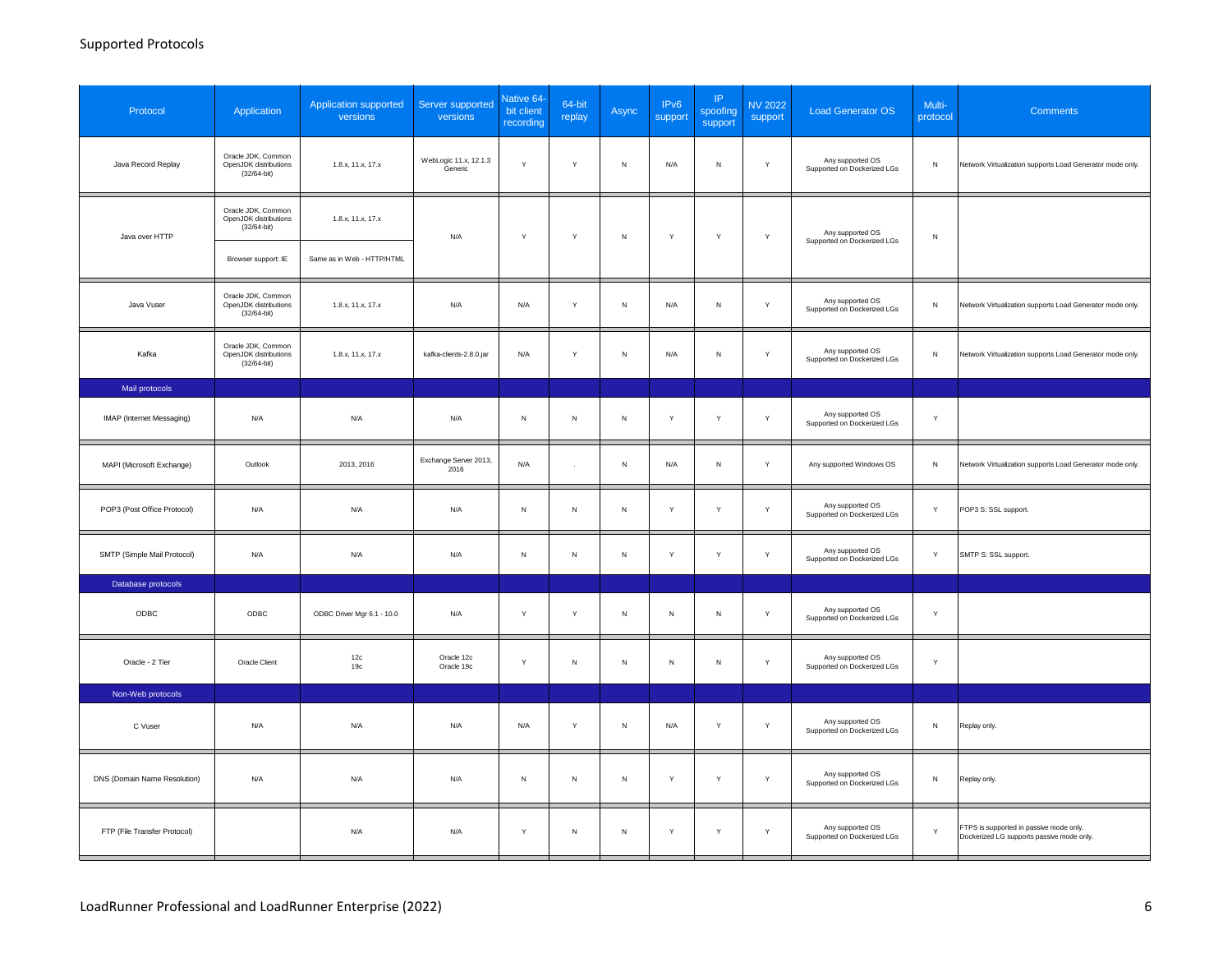| Protocol                     | Application                                                    | Application supported<br>versions | Server supported<br>versions     | Native 64<br>bit client<br>recording | 64-bit<br>replay | Async     | IP <sub>v6</sub><br>support | IP<br>spoofing<br>support | <b>NV 2022</b><br>support | <b>Load Generator OS</b>                        | Multi-<br>protocol | <b>Comments</b>                                                                      |
|------------------------------|----------------------------------------------------------------|-----------------------------------|----------------------------------|--------------------------------------|------------------|-----------|-----------------------------|---------------------------|---------------------------|-------------------------------------------------|--------------------|--------------------------------------------------------------------------------------|
| Java Record Replay           | Oracle JDK, Common<br>OpenJDK distributions<br>$(32/64 - bit)$ | 1.8.x, 11.x, 17.x                 | WebLogic 11.x, 12.1.3<br>Generic | Y                                    | Y                | N         | N/A                         | $\mathsf{N}\,$            | $\mathsf{Y}$              | Any supported OS<br>Supported on Dockerized LGs | $\mathsf N$        | Network Virtualization supports Load Generator mode only.                            |
| Java over HTTP               | Oracle JDK, Common<br>OpenJDK distributions<br>$(32/64-bit)$   | 1.8.x, 11.x, 17.x                 | N/A                              | Y                                    | Y                | N         | Y                           | Y                         | Y                         | Any supported OS                                | ${\sf N}$          |                                                                                      |
|                              | Browser support: IE                                            | Same as in Web - HTTP/HTML        |                                  |                                      |                  |           |                             |                           |                           | Supported on Dockerized LGs                     |                    |                                                                                      |
| Java Vuser                   | Oracle JDK, Common<br>OpenJDK distributions<br>$(32/64-bit)$   | 1.8.x, 11.x, 17.x                 | N/A                              | N/A                                  | $\mathsf Y$      | N         | N/A                         | ${\sf N}$                 | Y                         | Any supported OS<br>Supported on Dockerized LGs | ${\sf N}$          | Network Virtualization supports Load Generator mode only.                            |
| Kafka                        | Oracle JDK, Common<br>OpenJDK distributions<br>(32/64-bit)     | 1.8.x, 11.x, 17.x                 | kafka-clients-2.8.0.jar          | N/A                                  | Y                | N         | N/A                         | ${\sf N}$                 | Y                         | Any supported OS<br>Supported on Dockerized LGs | ${\sf N}$          | Network Virtualization supports Load Generator mode only.                            |
| Mail protocols               |                                                                |                                   |                                  |                                      |                  |           |                             |                           |                           |                                                 |                    |                                                                                      |
| IMAP (Internet Messaging)    | N/A                                                            | N/A                               | N/A                              | $\sf N$                              | ${\sf N}$        | N         | Y                           | Y                         | $\mathsf Y$               | Any supported OS<br>Supported on Dockerized LGs | Y                  |                                                                                      |
| MAPI (Microsoft Exchange)    | Outlook                                                        | 2013, 2016                        | Exchange Server 2013,<br>2016    | N/A                                  | $\sim$           | ${\sf N}$ | N/A                         | ${\sf N}$                 | $\mathsf{Y}$              | Any supported Windows OS                        | ${\sf N}$          | Network Virtualization supports Load Generator mode only.                            |
| POP3 (Post Office Protocol)  | N/A                                                            | N/A                               | N/A                              | $\sf N$                              | ${\sf N}$        | N         | Y                           | Y                         | Y                         | Any supported OS<br>Supported on Dockerized LGs | Y                  | POP3 S: SSL support.                                                                 |
| SMTP (Simple Mail Protocol)  | N/A                                                            | N/A                               | N/A                              | N                                    | ${\sf N}$        | N         | Y                           | Y                         | Y                         | Any supported OS<br>Supported on Dockerized LGs | Y                  | SMTP S: SSL support.                                                                 |
| Database protocols           |                                                                |                                   |                                  |                                      |                  |           |                             |                           |                           |                                                 |                    |                                                                                      |
| ODBC                         | ODBC                                                           | ODBC Driver Mgr 6.1 - 10.0        | N/A                              | Y                                    | Y                | N         | ${\sf N}$                   | ${\sf N}$                 | Y                         | Any supported OS<br>Supported on Dockerized LGs | Y                  |                                                                                      |
| Oracle - 2 Tier              | Oracle Client                                                  | 12c<br>19c                        | Oracle 12c<br>Oracle 19c         | Y                                    | $\mathsf N$      | N         | N                           | $\mathsf N$               | Y                         | Any supported OS<br>Supported on Dockerized LGs | Y                  |                                                                                      |
| Non-Web protocols            |                                                                |                                   |                                  |                                      |                  |           |                             |                           |                           |                                                 |                    |                                                                                      |
| C Vuser                      | N/A                                                            | N/A                               | N/A                              | N/A                                  | Y                | N         | N/A                         | Y                         | Y                         | Any supported OS<br>Supported on Dockerized LGs | ${\sf N}$          | Replay only.                                                                         |
| DNS (Domain Name Resolution) | N/A                                                            | N/A                               | N/A                              | ${\sf N}$                            | ${\sf N}$        | ${\sf N}$ | Y                           | Y                         | Y                         | Any supported OS<br>Supported on Dockerized LGs | ${\sf N}$          | Replay only.                                                                         |
| FTP (File Transfer Protocol) |                                                                | N/A                               | N/A                              | Y                                    | ${\sf N}$        | N         | Y                           | Y                         | Y                         | Any supported OS<br>Supported on Dockerized LGs | Y                  | FTPS is supported in passive mode only.<br>Dockerized LG supports passive mode only. |